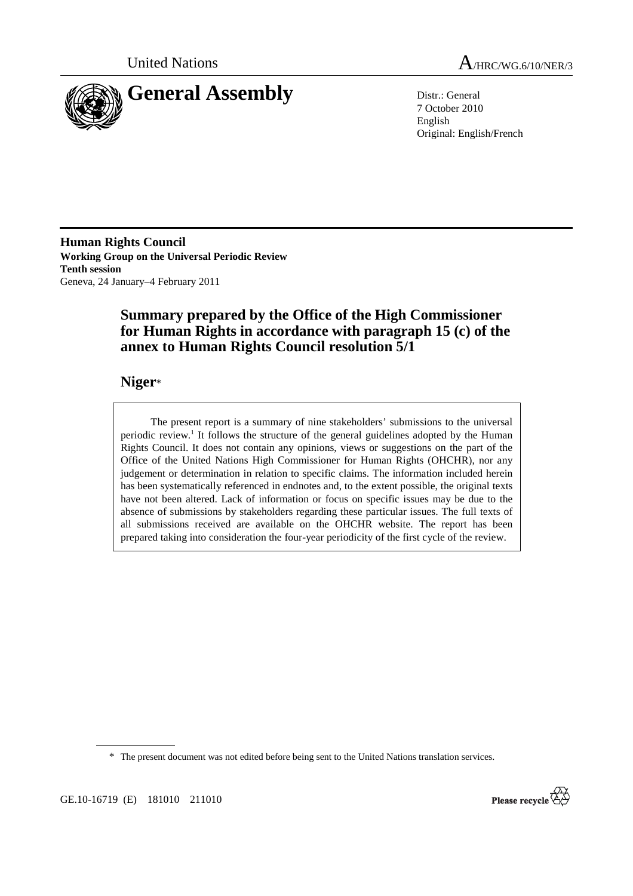



7 October 2010 English Original: English/French

**Human Rights Council Working Group on the Universal Periodic Review Tenth session**  Geneva, 24 January–4 February 2011

# **Summary prepared by the Office of the High Commissioner for Human Rights in accordance with paragraph 15 (c) of the annex to Human Rights Council resolution 5/1**

## **Niger**\*

 The present report is a summary of nine stakeholders' submissions to the universal periodic review.<sup>1</sup> It follows the structure of the general guidelines adopted by the Human Rights Council. It does not contain any opinions, views or suggestions on the part of the Office of the United Nations High Commissioner for Human Rights (OHCHR), nor any judgement or determination in relation to specific claims. The information included herein has been systematically referenced in endnotes and, to the extent possible, the original texts have not been altered. Lack of information or focus on specific issues may be due to the absence of submissions by stakeholders regarding these particular issues. The full texts of all submissions received are available on the OHCHR website. The report has been prepared taking into consideration the four-year periodicity of the first cycle of the review.

\* The present document was not edited before being sent to the United Nations translation services.

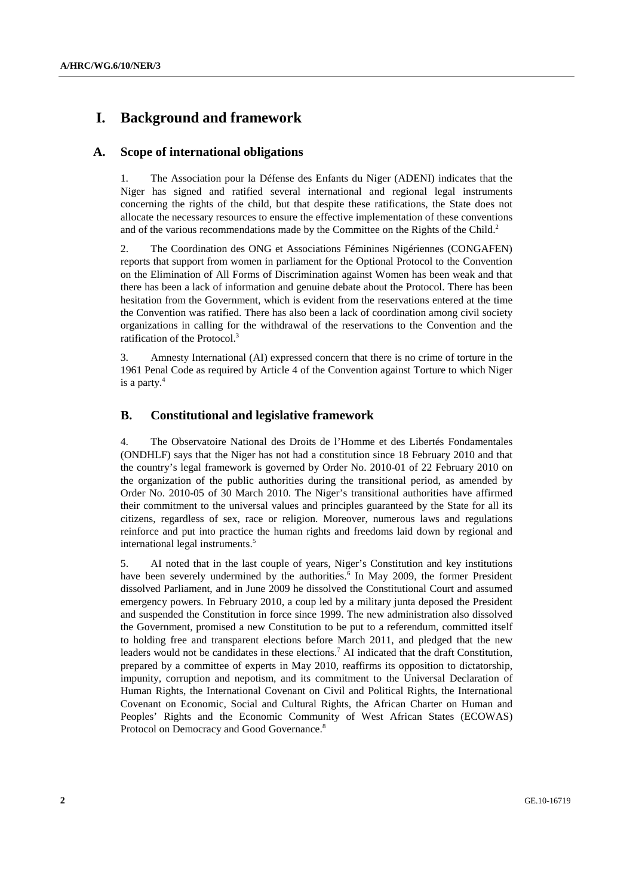# **I. Background and framework**

### **A. Scope of international obligations**

1. The Association pour la Défense des Enfants du Niger (ADENI) indicates that the Niger has signed and ratified several international and regional legal instruments concerning the rights of the child, but that despite these ratifications, the State does not allocate the necessary resources to ensure the effective implementation of these conventions and of the various recommendations made by the Committee on the Rights of the Child.<sup>2</sup>

2. The Coordination des ONG et Associations Féminines Nigériennes (CONGAFEN) reports that support from women in parliament for the Optional Protocol to the Convention on the Elimination of All Forms of Discrimination against Women has been weak and that there has been a lack of information and genuine debate about the Protocol. There has been hesitation from the Government, which is evident from the reservations entered at the time the Convention was ratified. There has also been a lack of coordination among civil society organizations in calling for the withdrawal of the reservations to the Convention and the ratification of the Protocol.3

3. Amnesty International (AI) expressed concern that there is no crime of torture in the 1961 Penal Code as required by Article 4 of the Convention against Torture to which Niger is a party.<sup>4</sup>

### **B. Constitutional and legislative framework**

4. The Observatoire National des Droits de l'Homme et des Libertés Fondamentales (ONDHLF) says that the Niger has not had a constitution since 18 February 2010 and that the country's legal framework is governed by Order No. 2010-01 of 22 February 2010 on the organization of the public authorities during the transitional period, as amended by Order No. 2010-05 of 30 March 2010. The Niger's transitional authorities have affirmed their commitment to the universal values and principles guaranteed by the State for all its citizens, regardless of sex, race or religion. Moreover, numerous laws and regulations reinforce and put into practice the human rights and freedoms laid down by regional and international legal instruments.<sup>5</sup>

5. AI noted that in the last couple of years, Niger's Constitution and key institutions have been severely undermined by the authorities.<sup>6</sup> In May 2009, the former President dissolved Parliament, and in June 2009 he dissolved the Constitutional Court and assumed emergency powers. In February 2010, a coup led by a military junta deposed the President and suspended the Constitution in force since 1999. The new administration also dissolved the Government, promised a new Constitution to be put to a referendum, committed itself to holding free and transparent elections before March 2011, and pledged that the new leaders would not be candidates in these elections.<sup>7</sup> AI indicated that the draft Constitution, prepared by a committee of experts in May 2010, reaffirms its opposition to dictatorship, impunity, corruption and nepotism, and its commitment to the Universal Declaration of Human Rights, the International Covenant on Civil and Political Rights, the International Covenant on Economic, Social and Cultural Rights, the African Charter on Human and Peoples' Rights and the Economic Community of West African States (ECOWAS) Protocol on Democracy and Good Governance.<sup>8</sup>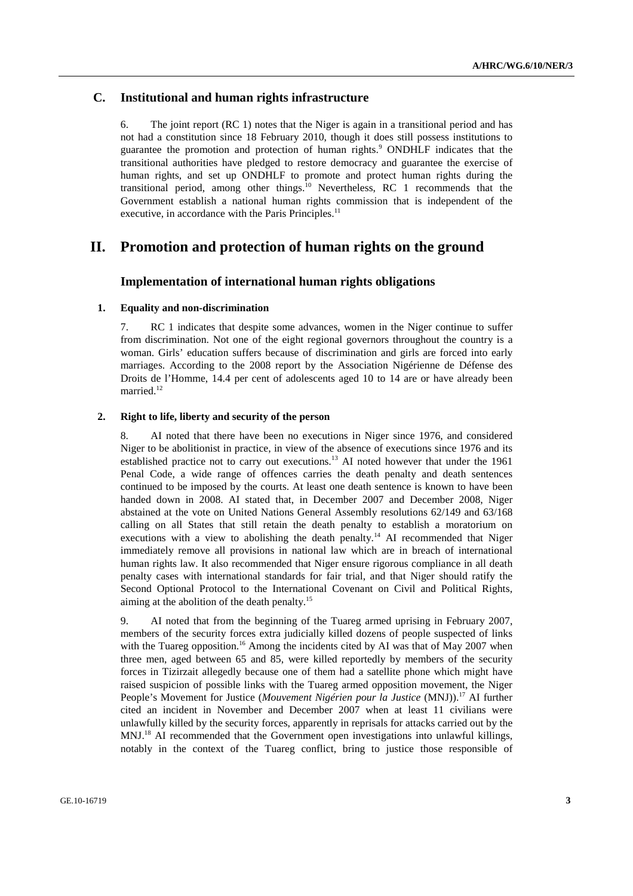### **C. Institutional and human rights infrastructure**

6. The joint report (RC 1) notes that the Niger is again in a transitional period and has not had a constitution since 18 February 2010, though it does still possess institutions to guarantee the promotion and protection of human rights.<sup>9</sup> ONDHLF indicates that the transitional authorities have pledged to restore democracy and guarantee the exercise of human rights, and set up ONDHLF to promote and protect human rights during the transitional period, among other things.<sup>10</sup> Nevertheless, RC 1 recommends that the Government establish a national human rights commission that is independent of the executive, in accordance with the Paris Principles.<sup>11</sup>

## **II. Promotion and protection of human rights on the ground**

#### **Implementation of international human rights obligations**

#### **1. Equality and non-discrimination**

7. RC 1 indicates that despite some advances, women in the Niger continue to suffer from discrimination. Not one of the eight regional governors throughout the country is a woman. Girls' education suffers because of discrimination and girls are forced into early marriages. According to the 2008 report by the Association Nigérienne de Défense des Droits de l'Homme, 14.4 per cent of adolescents aged 10 to 14 are or have already been married.<sup>12</sup>

#### **2. Right to life, liberty and security of the person**

8. AI noted that there have been no executions in Niger since 1976, and considered Niger to be abolitionist in practice, in view of the absence of executions since 1976 and its established practice not to carry out executions.<sup>13</sup> AI noted however that under the 1961 Penal Code, a wide range of offences carries the death penalty and death sentences continued to be imposed by the courts. At least one death sentence is known to have been handed down in 2008. AI stated that, in December 2007 and December 2008, Niger abstained at the vote on United Nations General Assembly resolutions 62/149 and 63/168 calling on all States that still retain the death penalty to establish a moratorium on executions with a view to abolishing the death penalty.<sup>14</sup> AI recommended that Niger immediately remove all provisions in national law which are in breach of international human rights law. It also recommended that Niger ensure rigorous compliance in all death penalty cases with international standards for fair trial, and that Niger should ratify the Second Optional Protocol to the International Covenant on Civil and Political Rights, aiming at the abolition of the death penalty.15

9. AI noted that from the beginning of the Tuareg armed uprising in February 2007, members of the security forces extra judicially killed dozens of people suspected of links with the Tuareg opposition.<sup>16</sup> Among the incidents cited by AI was that of May 2007 when three men, aged between 65 and 85, were killed reportedly by members of the security forces in Tizirzait allegedly because one of them had a satellite phone which might have raised suspicion of possible links with the Tuareg armed opposition movement, the Niger People's Movement for Justice (Mouvement Nigérien pour la Justice (MNJ)).<sup>17</sup> AI further cited an incident in November and December 2007 when at least 11 civilians were unlawfully killed by the security forces, apparently in reprisals for attacks carried out by the MNJ.18 AI recommended that the Government open investigations into unlawful killings, notably in the context of the Tuareg conflict, bring to justice those responsible of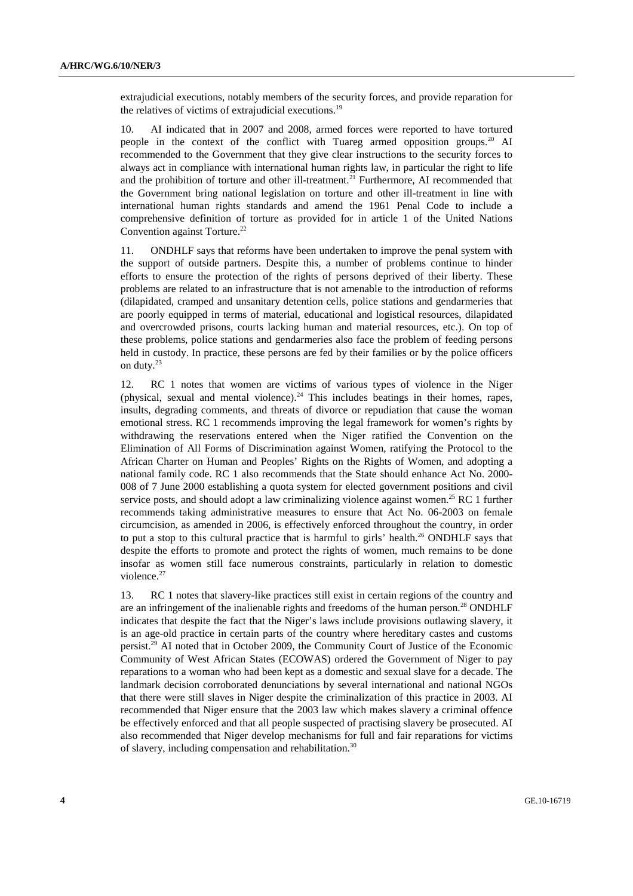extrajudicial executions, notably members of the security forces, and provide reparation for the relatives of victims of extrajudicial executions.<sup>19</sup>

10. AI indicated that in 2007 and 2008, armed forces were reported to have tortured people in the context of the conflict with Tuareg armed opposition groups.<sup>20</sup> AI recommended to the Government that they give clear instructions to the security forces to always act in compliance with international human rights law, in particular the right to life and the prohibition of torture and other ill-treatment.<sup>21</sup> Furthermore, AI recommended that the Government bring national legislation on torture and other ill-treatment in line with international human rights standards and amend the 1961 Penal Code to include a comprehensive definition of torture as provided for in article 1 of the United Nations Convention against Torture.<sup>22</sup>

11. ONDHLF says that reforms have been undertaken to improve the penal system with the support of outside partners. Despite this, a number of problems continue to hinder efforts to ensure the protection of the rights of persons deprived of their liberty. These problems are related to an infrastructure that is not amenable to the introduction of reforms (dilapidated, cramped and unsanitary detention cells, police stations and gendarmeries that are poorly equipped in terms of material, educational and logistical resources, dilapidated and overcrowded prisons, courts lacking human and material resources, etc.). On top of these problems, police stations and gendarmeries also face the problem of feeding persons held in custody. In practice, these persons are fed by their families or by the police officers on duty.23

12. RC 1 notes that women are victims of various types of violence in the Niger (physical, sexual and mental violence).<sup>24</sup> This includes beatings in their homes, rapes, insults, degrading comments, and threats of divorce or repudiation that cause the woman emotional stress. RC 1 recommends improving the legal framework for women's rights by withdrawing the reservations entered when the Niger ratified the Convention on the Elimination of All Forms of Discrimination against Women, ratifying the Protocol to the African Charter on Human and Peoples' Rights on the Rights of Women, and adopting a national family code. RC 1 also recommends that the State should enhance Act No. 2000- 008 of 7 June 2000 establishing a quota system for elected government positions and civil service posts, and should adopt a law criminalizing violence against women.<sup>25</sup> RC 1 further recommends taking administrative measures to ensure that Act No. 06-2003 on female circumcision, as amended in 2006, is effectively enforced throughout the country, in order to put a stop to this cultural practice that is harmful to girls' health.<sup>26</sup> ONDHLF says that despite the efforts to promote and protect the rights of women, much remains to be done insofar as women still face numerous constraints, particularly in relation to domestic violence.<sup>27</sup>

13. RC 1 notes that slavery-like practices still exist in certain regions of the country and are an infringement of the inalienable rights and freedoms of the human person.<sup>28</sup> ONDHLF indicates that despite the fact that the Niger's laws include provisions outlawing slavery, it is an age-old practice in certain parts of the country where hereditary castes and customs persist.29 AI noted that in October 2009, the Community Court of Justice of the Economic Community of West African States (ECOWAS) ordered the Government of Niger to pay reparations to a woman who had been kept as a domestic and sexual slave for a decade. The landmark decision corroborated denunciations by several international and national NGOs that there were still slaves in Niger despite the criminalization of this practice in 2003. AI recommended that Niger ensure that the 2003 law which makes slavery a criminal offence be effectively enforced and that all people suspected of practising slavery be prosecuted. AI also recommended that Niger develop mechanisms for full and fair reparations for victims of slavery, including compensation and rehabilitation.<sup>30</sup>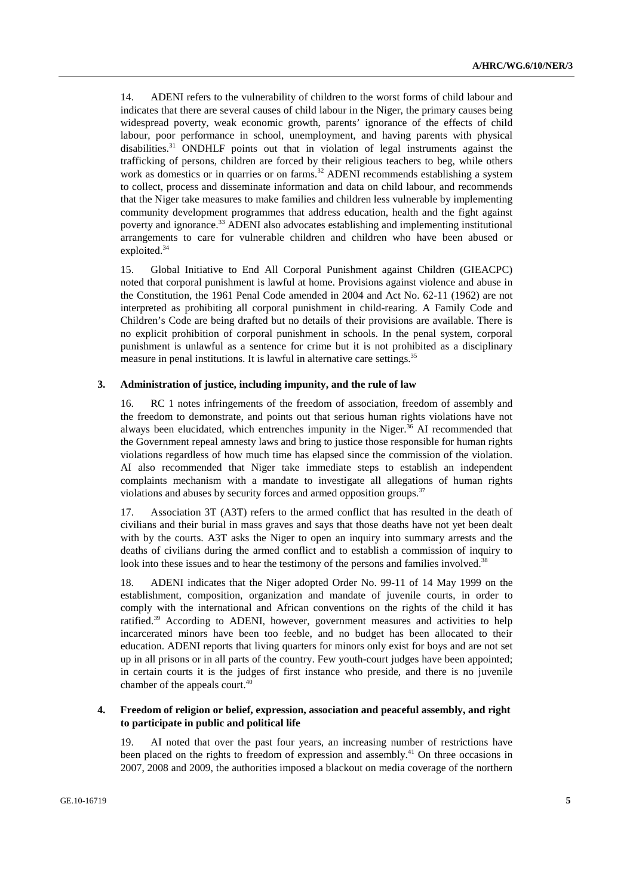14. ADENI refers to the vulnerability of children to the worst forms of child labour and indicates that there are several causes of child labour in the Niger, the primary causes being widespread poverty, weak economic growth, parents' ignorance of the effects of child labour, poor performance in school, unemployment, and having parents with physical disabilities.31 ONDHLF points out that in violation of legal instruments against the trafficking of persons, children are forced by their religious teachers to beg, while others work as domestics or in quarries or on farms.<sup>32</sup> ADENI recommends establishing a system to collect, process and disseminate information and data on child labour, and recommends that the Niger take measures to make families and children less vulnerable by implementing community development programmes that address education, health and the fight against poverty and ignorance.<sup>33</sup> ADENI also advocates establishing and implementing institutional arrangements to care for vulnerable children and children who have been abused or exploited.<sup>34</sup>

15. Global Initiative to End All Corporal Punishment against Children (GIEACPC) noted that corporal punishment is lawful at home. Provisions against violence and abuse in the Constitution, the 1961 Penal Code amended in 2004 and Act No. 62-11 (1962) are not interpreted as prohibiting all corporal punishment in child-rearing. A Family Code and Children's Code are being drafted but no details of their provisions are available. There is no explicit prohibition of corporal punishment in schools. In the penal system, corporal punishment is unlawful as a sentence for crime but it is not prohibited as a disciplinary measure in penal institutions. It is lawful in alternative care settings.<sup>35</sup>

#### **3. Administration of justice, including impunity, and the rule of law**

16. RC 1 notes infringements of the freedom of association, freedom of assembly and the freedom to demonstrate, and points out that serious human rights violations have not always been elucidated, which entrenches impunity in the Niger.<sup>36</sup> AI recommended that the Government repeal amnesty laws and bring to justice those responsible for human rights violations regardless of how much time has elapsed since the commission of the violation. AI also recommended that Niger take immediate steps to establish an independent complaints mechanism with a mandate to investigate all allegations of human rights violations and abuses by security forces and armed opposition groups.<sup>37</sup>

17. Association 3T (A3T) refers to the armed conflict that has resulted in the death of civilians and their burial in mass graves and says that those deaths have not yet been dealt with by the courts. A3T asks the Niger to open an inquiry into summary arrests and the deaths of civilians during the armed conflict and to establish a commission of inquiry to look into these issues and to hear the testimony of the persons and families involved.<sup>38</sup>

18. ADENI indicates that the Niger adopted Order No. 99-11 of 14 May 1999 on the establishment, composition, organization and mandate of juvenile courts, in order to comply with the international and African conventions on the rights of the child it has ratified.<sup>39</sup> According to ADENI, however, government measures and activities to help incarcerated minors have been too feeble, and no budget has been allocated to their education. ADENI reports that living quarters for minors only exist for boys and are not set up in all prisons or in all parts of the country. Few youth-court judges have been appointed; in certain courts it is the judges of first instance who preside, and there is no juvenile chamber of the appeals court.<sup>40</sup>

#### **4. Freedom of religion or belief, expression, association and peaceful assembly, and right to participate in public and political life**

19. AI noted that over the past four years, an increasing number of restrictions have been placed on the rights to freedom of expression and assembly.<sup>41</sup> On three occasions in 2007, 2008 and 2009, the authorities imposed a blackout on media coverage of the northern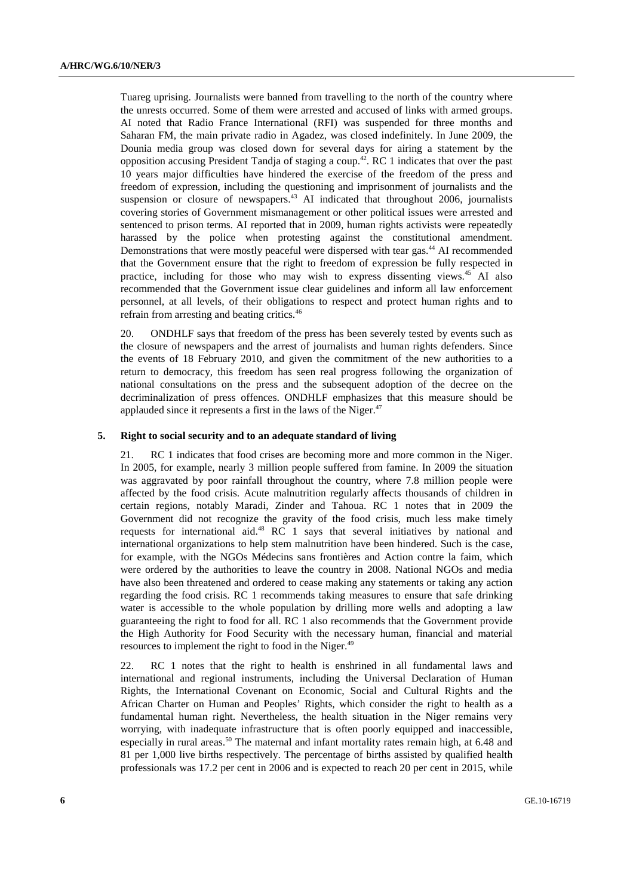Tuareg uprising. Journalists were banned from travelling to the north of the country where the unrests occurred. Some of them were arrested and accused of links with armed groups. AI noted that Radio France International (RFI) was suspended for three months and Saharan FM, the main private radio in Agadez, was closed indefinitely. In June 2009, the Dounia media group was closed down for several days for airing a statement by the opposition accusing President Tandja of staging a coup.42. RC 1 indicates that over the past 10 years major difficulties have hindered the exercise of the freedom of the press and freedom of expression, including the questioning and imprisonment of journalists and the suspension or closure of newspapers.<sup>43</sup> AI indicated that throughout 2006, journalists covering stories of Government mismanagement or other political issues were arrested and sentenced to prison terms. AI reported that in 2009, human rights activists were repeatedly harassed by the police when protesting against the constitutional amendment. Demonstrations that were mostly peaceful were dispersed with tear gas.<sup>44</sup> AI recommended that the Government ensure that the right to freedom of expression be fully respected in practice, including for those who may wish to express dissenting views.<sup>45</sup> AI also recommended that the Government issue clear guidelines and inform all law enforcement personnel, at all levels, of their obligations to respect and protect human rights and to refrain from arresting and beating critics.<sup>46</sup>

20. ONDHLF says that freedom of the press has been severely tested by events such as the closure of newspapers and the arrest of journalists and human rights defenders. Since the events of 18 February 2010, and given the commitment of the new authorities to a return to democracy, this freedom has seen real progress following the organization of national consultations on the press and the subsequent adoption of the decree on the decriminalization of press offences. ONDHLF emphasizes that this measure should be applauded since it represents a first in the laws of the Niger. $47$ 

#### **5. Right to social security and to an adequate standard of living**

21. RC 1 indicates that food crises are becoming more and more common in the Niger. In 2005, for example, nearly 3 million people suffered from famine. In 2009 the situation was aggravated by poor rainfall throughout the country, where 7.8 million people were affected by the food crisis. Acute malnutrition regularly affects thousands of children in certain regions, notably Maradi, Zinder and Tahoua. RC 1 notes that in 2009 the Government did not recognize the gravity of the food crisis, much less make timely requests for international aid.<sup>48</sup> RC 1 says that several initiatives by national and international organizations to help stem malnutrition have been hindered. Such is the case, for example, with the NGOs Médecins sans frontières and Action contre la faim, which were ordered by the authorities to leave the country in 2008. National NGOs and media have also been threatened and ordered to cease making any statements or taking any action regarding the food crisis. RC 1 recommends taking measures to ensure that safe drinking water is accessible to the whole population by drilling more wells and adopting a law guaranteeing the right to food for all. RC 1 also recommends that the Government provide the High Authority for Food Security with the necessary human, financial and material resources to implement the right to food in the Niger.<sup>49</sup>

22. RC 1 notes that the right to health is enshrined in all fundamental laws and international and regional instruments, including the Universal Declaration of Human Rights, the International Covenant on Economic, Social and Cultural Rights and the African Charter on Human and Peoples' Rights, which consider the right to health as a fundamental human right. Nevertheless, the health situation in the Niger remains very worrying, with inadequate infrastructure that is often poorly equipped and inaccessible, especially in rural areas.<sup>50</sup> The maternal and infant mortality rates remain high, at 6.48 and 81 per 1,000 live births respectively. The percentage of births assisted by qualified health professionals was 17.2 per cent in 2006 and is expected to reach 20 per cent in 2015, while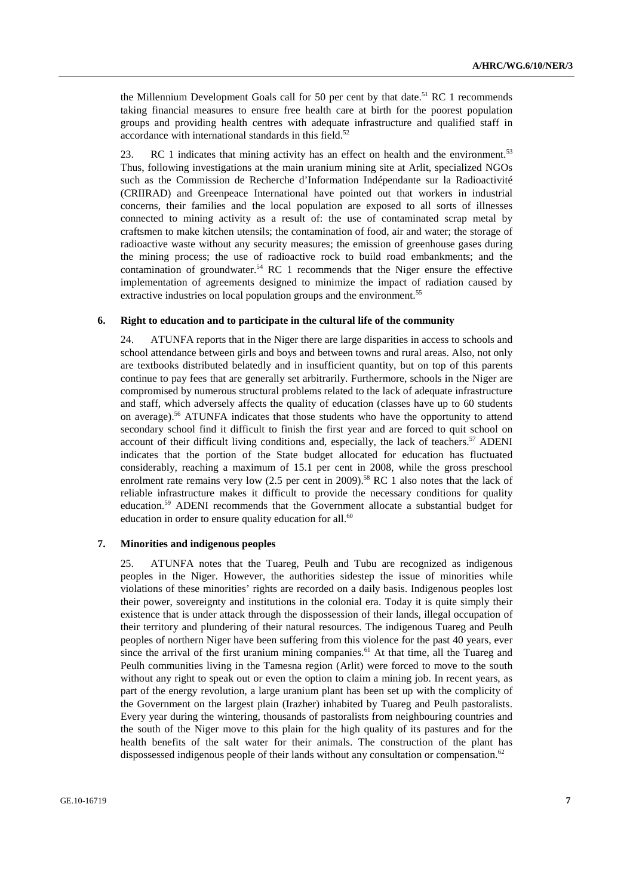the Millennium Development Goals call for 50 per cent by that date.<sup>51</sup> RC 1 recommends taking financial measures to ensure free health care at birth for the poorest population groups and providing health centres with adequate infrastructure and qualified staff in accordance with international standards in this field. $52$ 

23. RC 1 indicates that mining activity has an effect on health and the environment.<sup>53</sup> Thus, following investigations at the main uranium mining site at Arlit, specialized NGOs such as the Commission de Recherche d'Information Indépendante sur la Radioactivité (CRIIRAD) and Greenpeace International have pointed out that workers in industrial concerns, their families and the local population are exposed to all sorts of illnesses connected to mining activity as a result of: the use of contaminated scrap metal by craftsmen to make kitchen utensils; the contamination of food, air and water; the storage of radioactive waste without any security measures; the emission of greenhouse gases during the mining process; the use of radioactive rock to build road embankments; and the contamination of groundwater.<sup>54</sup> RC 1 recommends that the Niger ensure the effective implementation of agreements designed to minimize the impact of radiation caused by extractive industries on local population groups and the environment.<sup>55</sup>

#### **6. Right to education and to participate in the cultural life of the community**

24. ATUNFA reports that in the Niger there are large disparities in access to schools and school attendance between girls and boys and between towns and rural areas. Also, not only are textbooks distributed belatedly and in insufficient quantity, but on top of this parents continue to pay fees that are generally set arbitrarily. Furthermore, schools in the Niger are compromised by numerous structural problems related to the lack of adequate infrastructure and staff, which adversely affects the quality of education (classes have up to 60 students on average).56 ATUNFA indicates that those students who have the opportunity to attend secondary school find it difficult to finish the first year and are forced to quit school on account of their difficult living conditions and, especially, the lack of teachers.<sup>57</sup> ADENI indicates that the portion of the State budget allocated for education has fluctuated considerably, reaching a maximum of 15.1 per cent in 2008, while the gross preschool enrolment rate remains very low  $(2.5 \text{ per cent in } 2009)$ .<sup>58</sup> RC 1 also notes that the lack of reliable infrastructure makes it difficult to provide the necessary conditions for quality education.59 ADENI recommends that the Government allocate a substantial budget for education in order to ensure quality education for all.<sup>60</sup>

#### **7. Minorities and indigenous peoples**

25. ATUNFA notes that the Tuareg, Peulh and Tubu are recognized as indigenous peoples in the Niger. However, the authorities sidestep the issue of minorities while violations of these minorities' rights are recorded on a daily basis. Indigenous peoples lost their power, sovereignty and institutions in the colonial era. Today it is quite simply their existence that is under attack through the dispossession of their lands, illegal occupation of their territory and plundering of their natural resources. The indigenous Tuareg and Peulh peoples of northern Niger have been suffering from this violence for the past 40 years, ever since the arrival of the first uranium mining companies.<sup>61</sup> At that time, all the Tuareg and Peulh communities living in the Tamesna region (Arlit) were forced to move to the south without any right to speak out or even the option to claim a mining job. In recent years, as part of the energy revolution, a large uranium plant has been set up with the complicity of the Government on the largest plain (Irazher) inhabited by Tuareg and Peulh pastoralists. Every year during the wintering, thousands of pastoralists from neighbouring countries and the south of the Niger move to this plain for the high quality of its pastures and for the health benefits of the salt water for their animals. The construction of the plant has dispossessed indigenous people of their lands without any consultation or compensation.<sup>62</sup>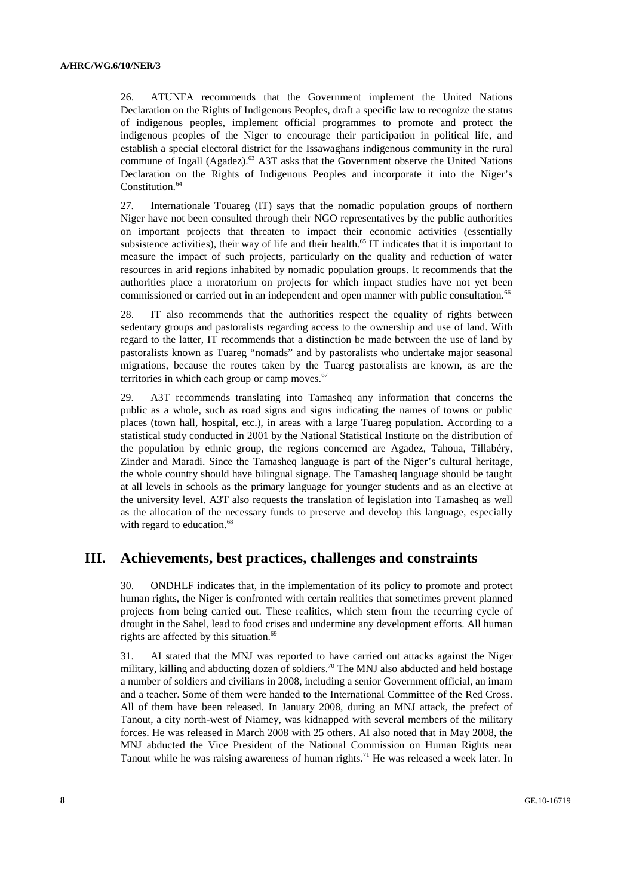26. ATUNFA recommends that the Government implement the United Nations Declaration on the Rights of Indigenous Peoples, draft a specific law to recognize the status of indigenous peoples, implement official programmes to promote and protect the indigenous peoples of the Niger to encourage their participation in political life, and establish a special electoral district for the Issawaghans indigenous community in the rural commune of Ingall (Agadez).<sup>63</sup> A3T asks that the Government observe the United Nations Declaration on the Rights of Indigenous Peoples and incorporate it into the Niger's Constitution.<sup>64</sup>

27. Internationale Touareg (IT) says that the nomadic population groups of northern Niger have not been consulted through their NGO representatives by the public authorities on important projects that threaten to impact their economic activities (essentially subsistence activities), their way of life and their health.<sup>65</sup> IT indicates that it is important to measure the impact of such projects, particularly on the quality and reduction of water resources in arid regions inhabited by nomadic population groups. It recommends that the authorities place a moratorium on projects for which impact studies have not yet been commissioned or carried out in an independent and open manner with public consultation.<sup>66</sup>

28. IT also recommends that the authorities respect the equality of rights between sedentary groups and pastoralists regarding access to the ownership and use of land. With regard to the latter, IT recommends that a distinction be made between the use of land by pastoralists known as Tuareg "nomads" and by pastoralists who undertake major seasonal migrations, because the routes taken by the Tuareg pastoralists are known, as are the territories in which each group or camp moves. $67$ 

29. A3T recommends translating into Tamasheq any information that concerns the public as a whole, such as road signs and signs indicating the names of towns or public places (town hall, hospital, etc.), in areas with a large Tuareg population. According to a statistical study conducted in 2001 by the National Statistical Institute on the distribution of the population by ethnic group, the regions concerned are Agadez, Tahoua, Tillabéry, Zinder and Maradi. Since the Tamasheq language is part of the Niger's cultural heritage, the whole country should have bilingual signage. The Tamasheq language should be taught at all levels in schools as the primary language for younger students and as an elective at the university level. A3T also requests the translation of legislation into Tamasheq as well as the allocation of the necessary funds to preserve and develop this language, especially with regard to education.<sup>68</sup>

## **III. Achievements, best practices, challenges and constraints**

30. ONDHLF indicates that, in the implementation of its policy to promote and protect human rights, the Niger is confronted with certain realities that sometimes prevent planned projects from being carried out. These realities, which stem from the recurring cycle of drought in the Sahel, lead to food crises and undermine any development efforts. All human rights are affected by this situation.<sup>69</sup>

31. AI stated that the MNJ was reported to have carried out attacks against the Niger military, killing and abducting dozen of soldiers.<sup>70</sup> The MNJ also abducted and held hostage a number of soldiers and civilians in 2008, including a senior Government official, an imam and a teacher. Some of them were handed to the International Committee of the Red Cross. All of them have been released. In January 2008, during an MNJ attack, the prefect of Tanout, a city north-west of Niamey, was kidnapped with several members of the military forces. He was released in March 2008 with 25 others. AI also noted that in May 2008, the MNJ abducted the Vice President of the National Commission on Human Rights near Tanout while he was raising awareness of human rights.<sup>71</sup> He was released a week later. In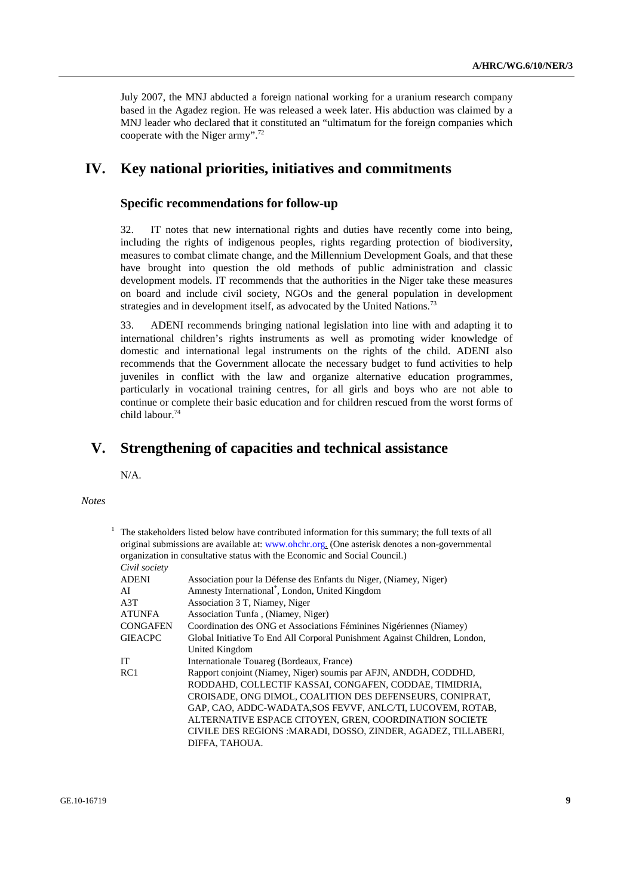July 2007, the MNJ abducted a foreign national working for a uranium research company based in the Agadez region. He was released a week later. His abduction was claimed by a MNJ leader who declared that it constituted an "ultimatum for the foreign companies which cooperate with the Niger army".72

## **IV. Key national priorities, initiatives and commitments**

### **Specific recommendations for follow-up**

32. IT notes that new international rights and duties have recently come into being, including the rights of indigenous peoples, rights regarding protection of biodiversity, measures to combat climate change, and the Millennium Development Goals, and that these have brought into question the old methods of public administration and classic development models. IT recommends that the authorities in the Niger take these measures on board and include civil society, NGOs and the general population in development strategies and in development itself, as advocated by the United Nations.<sup>73</sup>

33. ADENI recommends bringing national legislation into line with and adapting it to international children's rights instruments as well as promoting wider knowledge of domestic and international legal instruments on the rights of the child. ADENI also recommends that the Government allocate the necessary budget to fund activities to help juveniles in conflict with the law and organize alternative education programmes, particularly in vocational training centres, for all girls and boys who are not able to continue or complete their basic education and for children rescued from the worst forms of child labour.74

## **V. Strengthening of capacities and technical assistance**

N/A.

 *Notes* 

|                 | The stakeholders listed below have contributed information for this summary; the full texts of all<br>original submissions are available at: www.ohchr.org. (One asterisk denotes a non-governmental<br>organization in consultative status with the Economic and Social Council.) |
|-----------------|------------------------------------------------------------------------------------------------------------------------------------------------------------------------------------------------------------------------------------------------------------------------------------|
| Civil society   |                                                                                                                                                                                                                                                                                    |
| <b>ADENI</b>    | Association pour la Défense des Enfants du Niger, (Niamey, Niger)                                                                                                                                                                                                                  |
| AI              | Amnesty International <sup>*</sup> , London, United Kingdom                                                                                                                                                                                                                        |
| A3T             | Association 3 T, Niamey, Niger                                                                                                                                                                                                                                                     |
| ATUNFA          | Association Tunfa, (Niamey, Niger)                                                                                                                                                                                                                                                 |
| <b>CONGAFEN</b> | Coordination des ONG et Associations Féminines Nigériennes (Niamey)                                                                                                                                                                                                                |
| <b>GIEACPC</b>  | Global Initiative To End All Corporal Punishment Against Children, London,                                                                                                                                                                                                         |
|                 | United Kingdom                                                                                                                                                                                                                                                                     |
| <b>IT</b>       | Internationale Touareg (Bordeaux, France)                                                                                                                                                                                                                                          |
| RC1             | Rapport conjoint (Niamey, Niger) soumis par AFJN, ANDDH, CODDHD,                                                                                                                                                                                                                   |
|                 | RODDAHD, COLLECTIF KASSAI, CONGAFEN, CODDAE, TIMIDRIA,                                                                                                                                                                                                                             |
|                 | CROISADE, ONG DIMOL, COALITION DES DEFENSEURS, CONIPRAT,                                                                                                                                                                                                                           |
|                 | GAP, CAO, ADDC-WADATA, SOS FEVVF, ANLC/TI, LUCOVEM, ROTAB,                                                                                                                                                                                                                         |
|                 | ALTERNATIVE ESPACE CITOYEN, GREN, COORDINATION SOCIETE                                                                                                                                                                                                                             |
|                 | CIVILE DES REGIONS : MARADI, DOSSO, ZINDER, AGADEZ, TILLABERI,                                                                                                                                                                                                                     |
|                 | DIFFA, TAHOUA.                                                                                                                                                                                                                                                                     |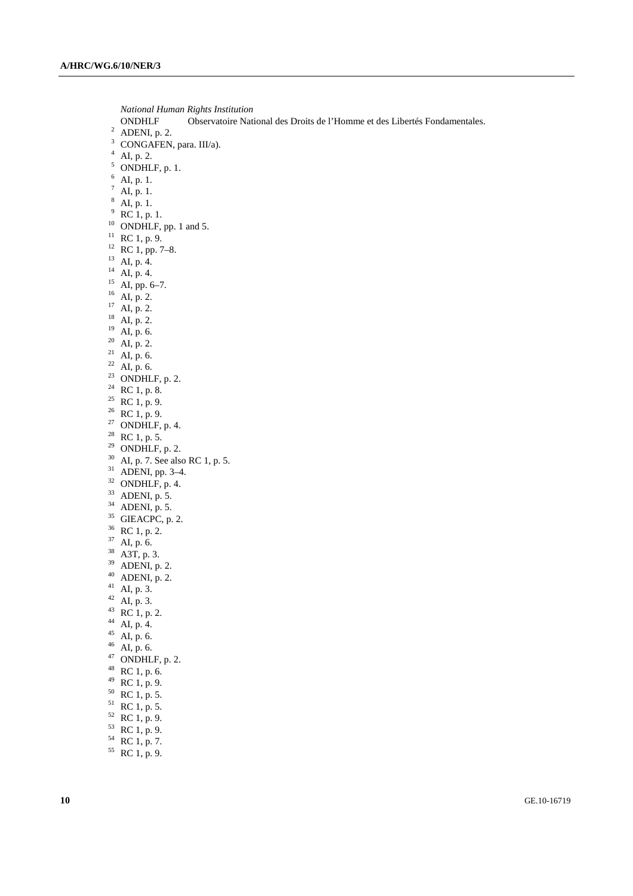*National Human Rights Institution*  ONDHLF Observatoire National des Droits de l'Homme et des Libertés Fondamentales. 2 <sup>2</sup> ADENI, p. 2. 3 CONGAFEN, para. III/a).  $^{4}$  AI, p. 2.<br><sup>5</sup> ONDHLF, p. 1.  $_7^7$  AI, p. 1.<br>8 AI, p. 1.  $9^9$  RC 1, p. 1.  $^{10}$  ONDHLF, pp. 1 and 5.  $11$  RC 1, p. 9.  $12$  RC 1, pp. 7–8. 13 AI, p. 4.  $^{14}$  AI, p. 4.  $^{15}$  AI, pp. 6–7.  $^{16}$  AI, p. 2.  $17 \overline{AI}$ , p. 2.  $^{18}$  AI, p. 2.  $^{19}$  AI, p. 6.  $^{20}$  AI, p. 2. <sup>21</sup> AI, p. 6.  $22$  AI, p. 6. <sup>23</sup> ONDHLF, p. 2.  $24$  RC 1, p. 8. <sup>25</sup> RC 1, p. 9.  $26$  RC 1, p. 9. <sup>27</sup> ONDHLF, p. 4.  $28$  RC 1, p. 5. <sup>29</sup> ONDHLF, p. 2.  $30$  AI, p. 7. See also RC 1, p. 5. 31 ADENI, pp. 3–4.  $32$  ONDHLF, p. 4.  $33$  ADENI, p. 5.  $34$  ADENI, p. 5.  $35$  GIEACPC, p. 2. 36 RC 1, p. 2.  $37$  AI, p. 6. 38 A3T, p. 3.  $39$  ADENI, p. 2.  $40$  ADENI, p. 2.  $41$  AI, p. 3.  $42$  AI, p. 3.  $43 \text{ RC } 1, \text{p. } 2.$  $^{44}$  AI, p. 4.  $45$  AI, p. 6.  $46$  AI, p. 6.  $47$  ONDHLF, p. 2.  $48$  RC 1, p. 6.  $49$  RC 1, p. 9. 50 RC 1, p. 5.  $51$  RC 1, p. 5.

- $52 \text{ RC } 1, \text{p. } 9.$
- $53 \text{ RC } 1, \text{p. } 9.$
- $54 \text{ RC } 1, \text{p. } 7.$
- $55 \text{ RC } 1, \text{ p. } 9.$